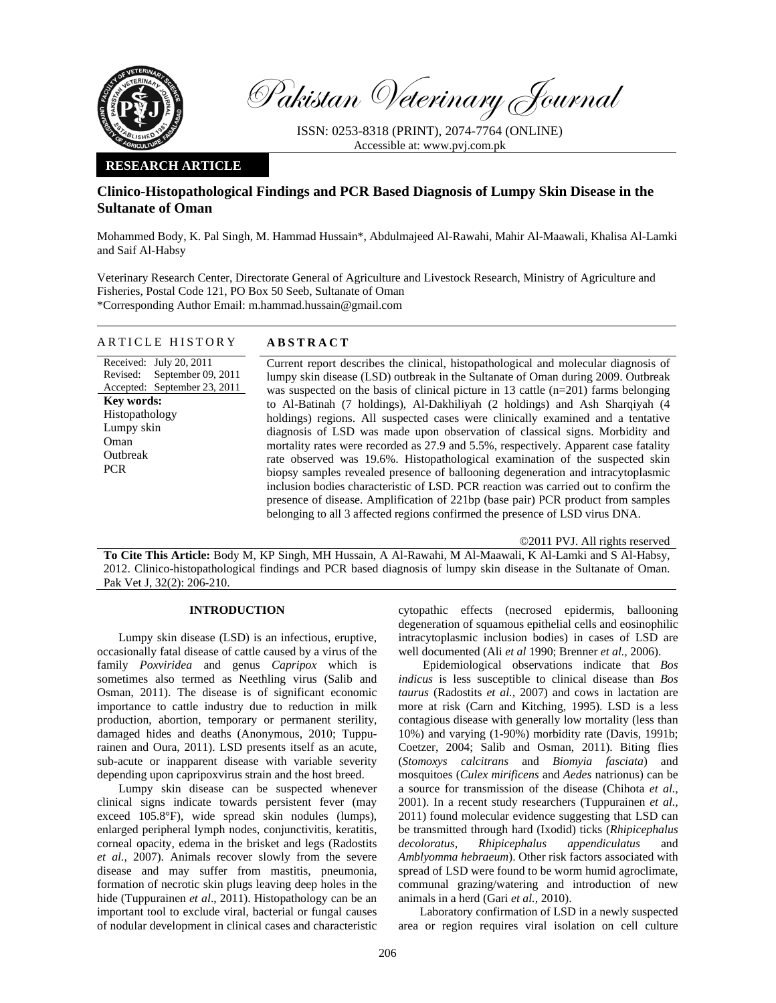

Pakistan Veterinary Journal

ISSN: 0253-8318 (PRINT), 2074-7764 (ONLINE) Accessible at: www.pvj.com.pk

### **RESEARCH ARTICLE**

# **Clinico-Histopathological Findings and PCR Based Diagnosis of Lumpy Skin Disease in the Sultanate of Oman**

Mohammed Body, K. Pal Singh, M. Hammad Hussain\*, Abdulmajeed Al-Rawahi, Mahir Al-Maawali, Khalisa Al-Lamki and Saif Al-Habsy

Veterinary Research Center, Directorate General of Agriculture and Livestock Research, Ministry of Agriculture and Fisheries, Postal Code 121, PO Box 50 Seeb, Sultanate of Oman \*Corresponding Author Email: m.hammad.hussain@gmail.com

#### ARTICLE HISTORY **ABSTRACT**

## Received: July 20, 2011 Revised: Accepted: September 23, 2011 September 09, 2011 **Key words:**  Histopathology Lumpy skin Oman Outbreak **PCR**

Current report describes the clinical, histopathological and molecular diagnosis of lumpy skin disease (LSD) outbreak in the Sultanate of Oman during 2009. Outbreak was suspected on the basis of clinical picture in 13 cattle (n=201) farms belonging to Al-Batinah (7 holdings), Al-Dakhiliyah (2 holdings) and Ash Sharqiyah (4 holdings) regions. All suspected cases were clinically examined and a tentative diagnosis of LSD was made upon observation of classical signs. Morbidity and mortality rates were recorded as 27.9 and 5.5%, respectively. Apparent case fatality rate observed was 19.6%. Histopathological examination of the suspected skin biopsy samples revealed presence of ballooning degeneration and intracytoplasmic inclusion bodies characteristic of LSD. PCR reaction was carried out to confirm the presence of disease. Amplification of 221bp (base pair) PCR product from samples belonging to all 3 affected regions confirmed the presence of LSD virus DNA.

©2011 PVJ. All rights reserved

**To Cite This Article:** Body M, KP Singh, MH Hussain, A Al-Rawahi, M Al-Maawali, K Al-Lamki and S Al-Habsy, 2012. Clinico-histopathological findings and PCR based diagnosis of lumpy skin disease in the Sultanate of Oman. Pak Vet J, 32(2): 206-210.

#### **INTRODUCTION**

Lumpy skin disease (LSD) is an infectious, eruptive, occasionally fatal disease of cattle caused by a virus of the family *Poxviridea* and genus *Capripox* which is sometimes also termed as Neethling virus (Salib and Osman, 2011). The disease is of significant economic importance to cattle industry due to reduction in milk production, abortion, temporary or permanent sterility, damaged hides and deaths (Anonymous, 2010; Tuppurainen and Oura, 2011). LSD presents itself as an acute, sub-acute or inapparent disease with variable severity depending upon capripoxvirus strain and the host breed.

Lumpy skin disease can be suspected whenever clinical signs indicate towards persistent fever (may exceed 105.8°F), wide spread skin nodules (lumps), enlarged peripheral lymph nodes, conjunctivitis, keratitis, corneal opacity, edema in the brisket and legs (Radostits *et al.,* 2007). Animals recover slowly from the severe disease and may suffer from mastitis, pneumonia, formation of necrotic skin plugs leaving deep holes in the hide (Tuppurainen *et al*., 2011). Histopathology can be an important tool to exclude viral, bacterial or fungal causes of nodular development in clinical cases and characteristic

cytopathic effects (necrosed epidermis, ballooning degeneration of squamous epithelial cells and eosinophilic intracytoplasmic inclusion bodies) in cases of LSD are well documented (Ali *et al* 1990; Brenner *et al.,* 2006).

Epidemiological observations indicate that *Bos indicus* is less susceptible to clinical disease than *Bos taurus* (Radostits *et al.,* 2007) and cows in lactation are more at risk (Carn and Kitching, 1995). LSD is a less contagious disease with generally low mortality (less than 10%) and varying (1-90%) morbidity rate (Davis, 1991b; Coetzer, 2004; Salib and Osman, 2011). Biting flies (*Stomoxys calcitrans* and *Biomyia fasciata*) and mosquitoes (*Culex mirificens* and *Aedes* natrionus) can be a source for transmission of the disease (Chihota *et al.,* 2001). In a recent study researchers (Tuppurainen *et al.,*  2011) found molecular evidence suggesting that LSD can be transmitted through hard (Ixodid) ticks (*Rhipicephalus decoloratus, Rhipicephalus appendiculatus* and *Amblyomma hebraeum*). Other risk factors associated with spread of LSD were found to be worm humid agroclimate, communal grazing/watering and introduction of new animals in a herd (Gari *et al.,* 2010).

Laboratory confirmation of LSD in a newly suspected area or region requires viral isolation on cell culture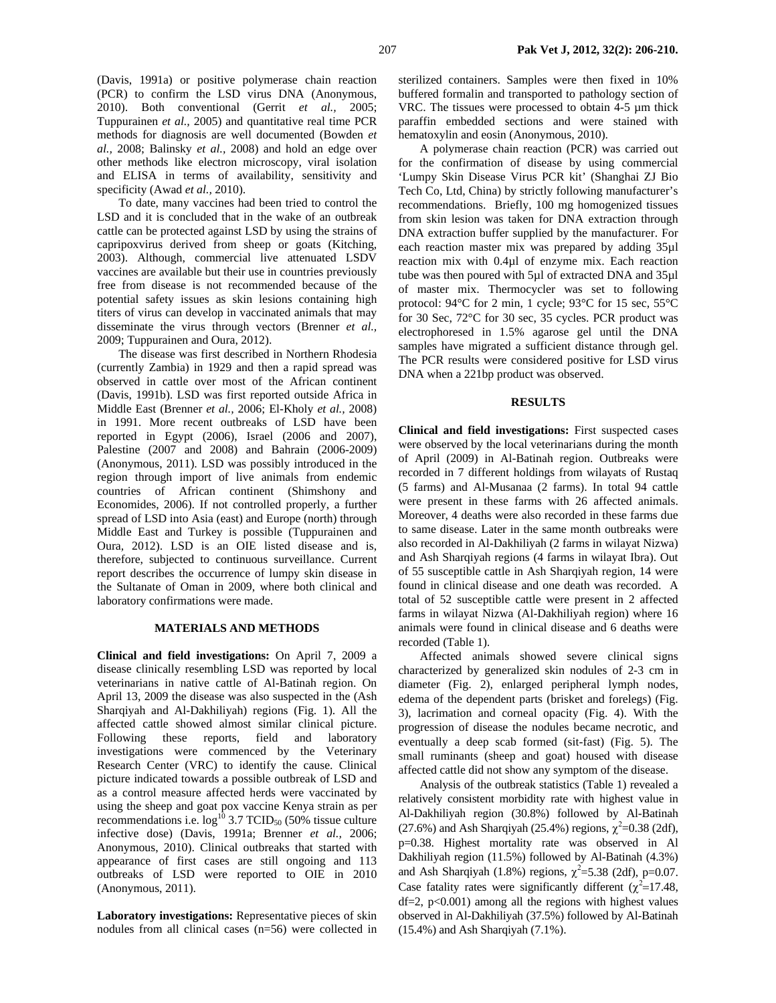(Davis, 1991a) or positive polymerase chain reaction (PCR) to confirm the LSD virus DNA (Anonymous, 2010). Both conventional (Gerrit *et al.,* 2005; Tuppurainen *et al.,* 2005) and quantitative real time PCR methods for diagnosis are well documented (Bowden *et al.,* 2008; Balinsky *et al.,* 2008) and hold an edge over other methods like electron microscopy, viral isolation and ELISA in terms of availability, sensitivity and specificity (Awad *et al.*, 2010).

To date, many vaccines had been tried to control the LSD and it is concluded that in the wake of an outbreak cattle can be protected against LSD by using the strains of capripoxvirus derived from sheep or goats (Kitching, 2003). Although, commercial live attenuated LSDV vaccines are available but their use in countries previously free from disease is not recommended because of the potential safety issues as skin lesions containing high titers of virus can develop in vaccinated animals that may disseminate the virus through vectors (Brenner *et al.,* 2009; Tuppurainen and Oura, 2012).

The disease was first described in Northern Rhodesia (currently Zambia) in 1929 and then a rapid spread was observed in cattle over most of the African continent (Davis, 1991b). LSD was first reported outside Africa in Middle East (Brenner *et al.,* 2006; El-Kholy *et al.,* 2008) in 1991. More recent outbreaks of LSD have been reported in Egypt (2006), Israel (2006 and 2007), Palestine (2007 and 2008) and Bahrain (2006-2009) (Anonymous, 2011). LSD was possibly introduced in the region through import of live animals from endemic countries of African continent (Shimshony and Economides, 2006). If not controlled properly, a further spread of LSD into Asia (east) and Europe (north) through Middle East and Turkey is possible (Tuppurainen and Oura*,* 2012). LSD is an OIE listed disease and is, therefore, subjected to continuous surveillance. Current report describes the occurrence of lumpy skin disease in the Sultanate of Oman in 2009, where both clinical and laboratory confirmations were made.

#### **MATERIALS AND METHODS**

**Clinical and field investigations:** On April 7, 2009 a disease clinically resembling LSD was reported by local veterinarians in native cattle of Al-Batinah region. On April 13, 2009 the disease was also suspected in the (Ash Sharqiyah and Al-Dakhiliyah) regions (Fig. 1). All the affected cattle showed almost similar clinical picture. Following these reports, field and laboratory investigations were commenced by the Veterinary Research Center (VRC) to identify the cause. Clinical picture indicated towards a possible outbreak of LSD and as a control measure affected herds were vaccinated by using the sheep and goat pox vaccine Kenya strain as per recommendations i.e.  $log^{10} 3.7$  TCID<sub>50</sub> (50% tissue culture infective dose) (Davis, 1991a; Brenner *et al.,* 2006; Anonymous, 2010). Clinical outbreaks that started with appearance of first cases are still ongoing and 113 outbreaks of LSD were reported to OIE in 2010 (Anonymous, 2011).

**Laboratory investigations:** Representative pieces of skin nodules from all clinical cases (n=56) were collected in sterilized containers. Samples were then fixed in 10% buffered formalin and transported to pathology section of VRC. The tissues were processed to obtain 4-5 µm thick paraffin embedded sections and were stained with hematoxylin and eosin (Anonymous, 2010).

A polymerase chain reaction (PCR) was carried out for the confirmation of disease by using commercial 'Lumpy Skin Disease Virus PCR kit' (Shanghai ZJ Bio Tech Co, Ltd, China) by strictly following manufacturer's recommendations. Briefly, 100 mg homogenized tissues from skin lesion was taken for DNA extraction through DNA extraction buffer supplied by the manufacturer. For each reaction master mix was prepared by adding 35µl reaction mix with 0.4µl of enzyme mix. Each reaction tube was then poured with 5µl of extracted DNA and 35µl of master mix. Thermocycler was set to following protocol: 94°C for 2 min, 1 cycle; 93°C for 15 sec, 55°C for 30 Sec, 72°C for 30 sec, 35 cycles. PCR product was electrophoresed in 1.5% agarose gel until the DNA samples have migrated a sufficient distance through gel. The PCR results were considered positive for LSD virus DNA when a 221bp product was observed.

#### **RESULTS**

**Clinical and field investigations:** First suspected cases were observed by the local veterinarians during the month of April (2009) in Al-Batinah region. Outbreaks were recorded in 7 different holdings from wilayats of Rustaq (5 farms) and Al-Musanaa (2 farms). In total 94 cattle were present in these farms with 26 affected animals. Moreover, 4 deaths were also recorded in these farms due to same disease. Later in the same month outbreaks were also recorded in Al-Dakhiliyah (2 farms in wilayat Nizwa) and Ash Sharqiyah regions (4 farms in wilayat Ibra). Out of 55 susceptible cattle in Ash Sharqiyah region, 14 were found in clinical disease and one death was recorded. A total of 52 susceptible cattle were present in 2 affected farms in wilayat Nizwa (Al-Dakhiliyah region) where 16 animals were found in clinical disease and 6 deaths were recorded (Table 1).

Affected animals showed severe clinical signs characterized by generalized skin nodules of 2-3 cm in diameter (Fig. 2), enlarged peripheral lymph nodes, edema of the dependent parts (brisket and forelegs) (Fig. 3), lacrimation and corneal opacity (Fig. 4). With the progression of disease the nodules became necrotic, and eventually a deep scab formed (sit-fast) (Fig. 5). The small ruminants (sheep and goat) housed with disease affected cattle did not show any symptom of the disease.

Analysis of the outbreak statistics (Table 1) revealed a relatively consistent morbidity rate with highest value in Al-Dakhiliyah region (30.8%) followed by Al-Batinah (27.6%) and Ash Sharqiyah (25.4%) regions,  $\chi^2$ =0.38 (2df), p=0.38. Highest mortality rate was observed in Al Dakhiliyah region (11.5%) followed by Al-Batinah (4.3%) and Ash Sharqiyah (1.8%) regions,  $\chi^2$ =5.38 (2df), p=0.07. Case fatality rates were significantly different ( $\chi^2$ =17.48,  $df=2$ ,  $p<0.001$ ) among all the regions with highest values observed in Al-Dakhiliyah (37.5%) followed by Al-Batinah (15.4%) and Ash Sharqiyah (7.1%).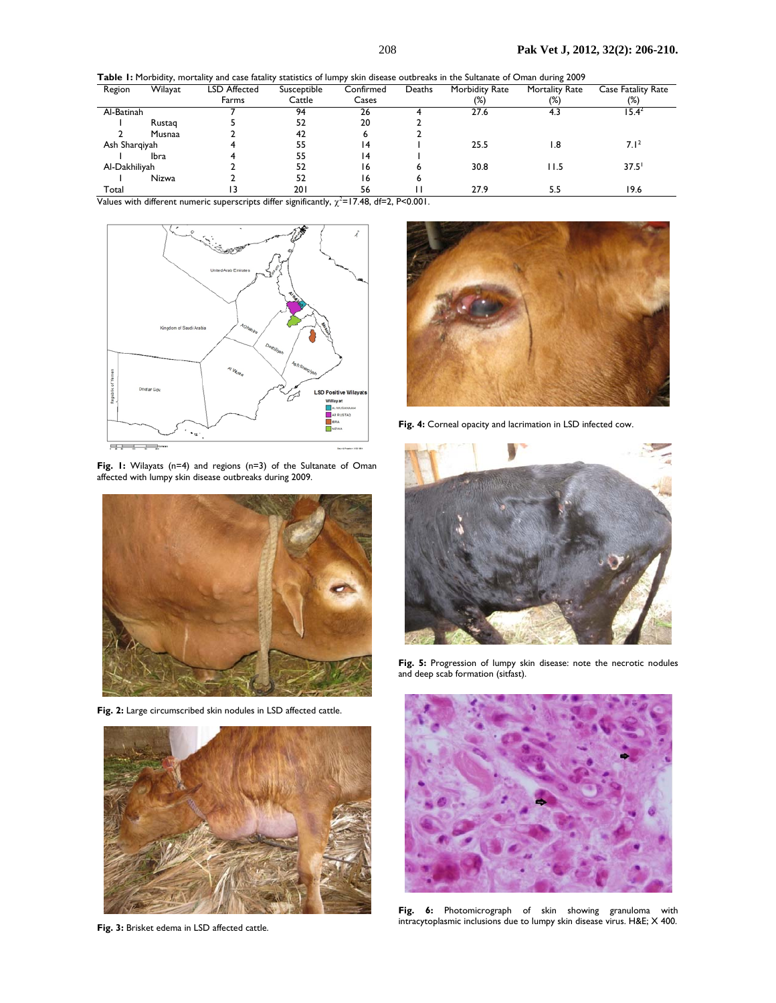**Table 1:** Morbidity, mortality and case fatality statistics of lumpy skin disease outbreaks in the Sultanate of Oman during 2009

| Region        | Wilayat      | LSD Affected | Susceptible | Confirmed | Deaths | Morbidity Rate | <b>Mortality Rate</b> | <b>Case Fatality Rate</b> |
|---------------|--------------|--------------|-------------|-----------|--------|----------------|-----------------------|---------------------------|
|               |              | Farms        | Cattle      | Cases     |        | (%)            | $(\%)$                | (%)                       |
| Al-Batinah    |              |              | 94          | 26        |        | 27.6           |                       | $15.4^2$                  |
|               | Rustag       |              | 52          | 20        |        |                |                       |                           |
|               | Musnaa       |              | 42          | ь         |        |                |                       |                           |
| Ash Sharqiyah |              |              | 55          | 14        |        | 25.5           | l.8                   | 7.1 <sup>2</sup>          |
|               | <b>Ibra</b>  |              | 55          | 14        |        |                |                       |                           |
| Al-Dakhiliyah |              |              | 52          | 16        |        | 30.8           | 11.5                  | 37.5                      |
|               | <b>Nizwa</b> |              | 52          | 16        |        |                |                       |                           |
| Total         |              |              | 201         | 56        |        | 27.9           | 5.5                   | 19.6                      |

Values with different numeric superscripts differ significantly,  $\chi^2$ =17.48, df=2, P<0.001.



**Fig. 1:** Wilayats (n=4) and regions (n=3) of the Sultanate of Oman affected with lumpy skin disease outbreaks during 2009.



**Fig. 2:** Large circumscribed skin nodules in LSD affected cattle.



**Fig. 3:** Brisket edema in LSD affected cattle.



**Fig. 4:** Corneal opacity and lacrimation in LSD infected cow.



**Fig. 5:** Progression of lumpy skin disease: note the necrotic nodules and deep scab formation (sitfast).



**Fig. 6:** Photomicrograph of skin showing granuloma with intracytoplasmic inclusions due to lumpy skin disease virus. H&E; X 400.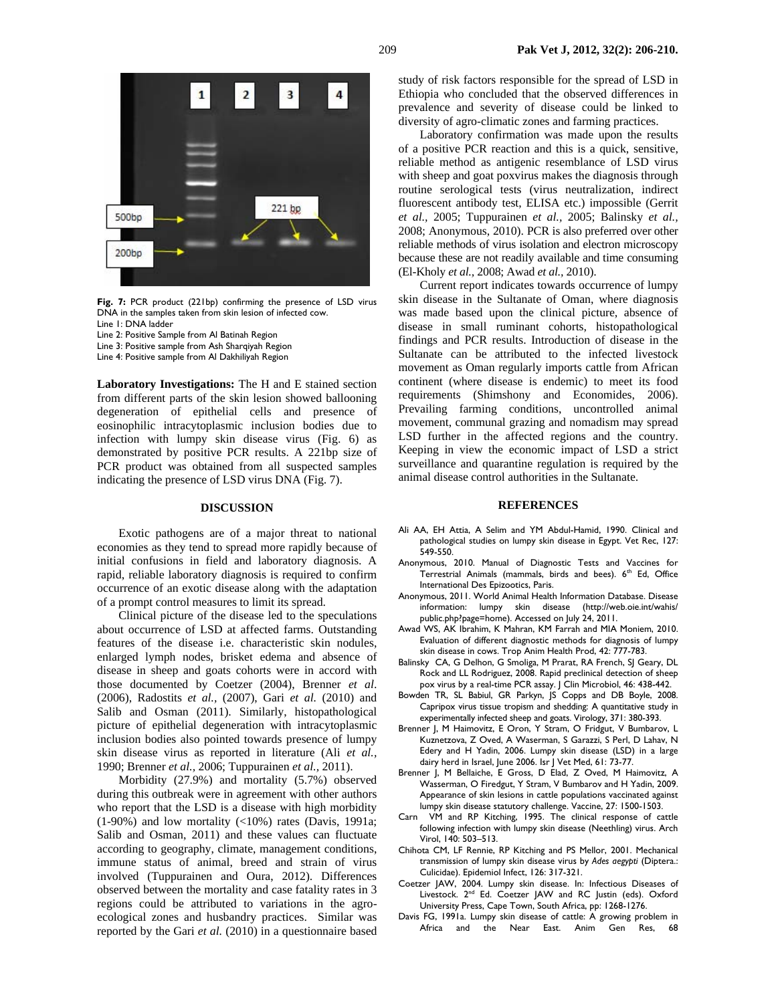

**Fig. 7:** PCR product (221bp) confirming the presence of LSD virus DNA in the samples taken from skin lesion of infected cow. Line 1: DNA ladder

Line 2: Positive Sample from Al Batinah Region

- Line 3: Positive sample from Ash Sharqiyah Region
- Line 4: Positive sample from Al Dakhiliyah Region

**Laboratory Investigations:** The H and E stained section from different parts of the skin lesion showed ballooning degeneration of epithelial cells and presence of eosinophilic intracytoplasmic inclusion bodies due to infection with lumpy skin disease virus (Fig. 6) as demonstrated by positive PCR results. A 221bp size of PCR product was obtained from all suspected samples indicating the presence of LSD virus DNA (Fig. 7).

#### **DISCUSSION**

Exotic pathogens are of a major threat to national economies as they tend to spread more rapidly because of initial confusions in field and laboratory diagnosis. A rapid, reliable laboratory diagnosis is required to confirm occurrence of an exotic disease along with the adaptation of a prompt control measures to limit its spread.

Clinical picture of the disease led to the speculations about occurrence of LSD at affected farms. Outstanding features of the disease i.e. characteristic skin nodules, enlarged lymph nodes, brisket edema and absence of disease in sheep and goats cohorts were in accord with those documented by Coetzer (2004), Brenner *et al*. (2006), Radostits *et al.,* (2007), Gari *et al.* (2010) and Salib and Osman (2011). Similarly, histopathological picture of epithelial degeneration with intracytoplasmic inclusion bodies also pointed towards presence of lumpy skin disease virus as reported in literature (Ali *et al.,* 1990; Brenner *et al.,* 2006; Tuppurainen *et al.,* 2011).

Morbidity (27.9%) and mortality (5.7%) observed during this outbreak were in agreement with other authors who report that the LSD is a disease with high morbidity (1-90%) and low mortality (<10%) rates (Davis, 1991a; Salib and Osman, 2011) and these values can fluctuate according to geography, climate, management conditions, immune status of animal, breed and strain of virus involved (Tuppurainen and Oura, 2012). Differences observed between the mortality and case fatality rates in 3 regions could be attributed to variations in the agroecological zones and husbandry practices. Similar was reported by the Gari *et al.* (2010) in a questionnaire based

study of risk factors responsible for the spread of LSD in Ethiopia who concluded that the observed differences in prevalence and severity of disease could be linked to diversity of agro-climatic zones and farming practices.

Laboratory confirmation was made upon the results of a positive PCR reaction and this is a quick, sensitive, reliable method as antigenic resemblance of LSD virus with sheep and goat poxvirus makes the diagnosis through routine serological tests (virus neutralization, indirect fluorescent antibody test, ELISA etc.) impossible (Gerrit *et al.,* 2005; Tuppurainen *et al.,* 2005; Balinsky *et al.,* 2008; Anonymous, 2010). PCR is also preferred over other reliable methods of virus isolation and electron microscopy because these are not readily available and time consuming (El-Kholy *et al.,* 2008; Awad *et al.,* 2010).

Current report indicates towards occurrence of lumpy skin disease in the Sultanate of Oman, where diagnosis was made based upon the clinical picture, absence of disease in small ruminant cohorts, histopathological findings and PCR results. Introduction of disease in the Sultanate can be attributed to the infected livestock movement as Oman regularly imports cattle from African continent (where disease is endemic) to meet its food requirements (Shimshony and Economides, 2006). Prevailing farming conditions, uncontrolled animal movement, communal grazing and nomadism may spread LSD further in the affected regions and the country. Keeping in view the economic impact of LSD a strict surveillance and quarantine regulation is required by the animal disease control authorities in the Sultanate.

#### **REFERENCES**

- Ali AA, EH Attia, A Selim and YM Abdul-Hamid, 1990. Clinical and pathological studies on lumpy skin disease in Egypt. Vet Rec, 127: 549-550.
- Anonymous, 2010. Manual of Diagnostic Tests and Vaccines for Terrestrial Animals (mammals, birds and bees). 6<sup>th</sup> Ed, Office International Des Epizootics, Paris.
- Anonymous, 2011. World Animal Health Information Database. Disease information: lumpy skin disease (http://web.oie.int/wahis/ public.php?page=home). Accessed on July 24, 2011.
- Awad WS, AK Ibrahim, K Mahran, KM Farrah and MIA Moniem, 2010. Evaluation of different diagnostic methods for diagnosis of lumpy skin disease in cows. Trop Anim Health Prod, 42: 777-783.
- Balinsky CA, G Delhon, G Smoliga, M Prarat, RA French, SJ Geary, DL Rock and LL Rodriguez, 2008. Rapid preclinical detection of sheep pox virus by a real-time PCR assay. J Clin Microbiol, 46: 438-442.
- Bowden TR, SL Babiul, GR Parkyn, JS Copps and DB Boyle, 2008. Capripox virus tissue tropism and shedding: A quantitative study in experimentally infected sheep and goats. Virology, 371: 380-393.
- Brenner J, M Haimovitz, E Oron, Y Stram, O Fridgut, V Bumbarov, L Kuznetzova, Z Oved, A Waserman, S Garazzi, S Perl, D Lahav, N Edery and H Yadin, 2006. Lumpy skin disease (LSD) in a large dairy herd in Israel, June 2006. Isr J Vet Med, 61: 73-77.
- Brenner J, M Bellaiche, E Gross, D Elad, Z Oved, M Haimovitz, A Wasserman, O Firedgut, Y Stram, V Bumbarov and H Yadin, 2009. Appearance of skin lesions in cattle populations vaccinated against lumpy skin disease statutory challenge. Vaccine, 27: 1500-1503.
- Carn VM and RP Kitching, 1995. The clinical response of cattle following infection with lumpy skin disease (Neethling) virus. Arch Virol, 140: 503–513.
- Chihota CM, LF Rennie, RP Kitching and PS Mellor, 2001. Mechanical transmission of lumpy skin disease virus by *Ades aegypti* (Diptera.: Culicidae). Epidemiol Infect, 126: 317-321.
- Coetzer JAW, 2004. Lumpy skin disease. In: Infectious Diseases of Livestock. 2nd Ed. Coetzer JAW and RC Justin (eds). Oxford University Press, Cape Town, South Africa, pp: 1268-1276.
- Davis FG, 1991a. Lumpy skin disease of cattle: A growing problem in Africa and the Near East. Anim Gen Res, 68